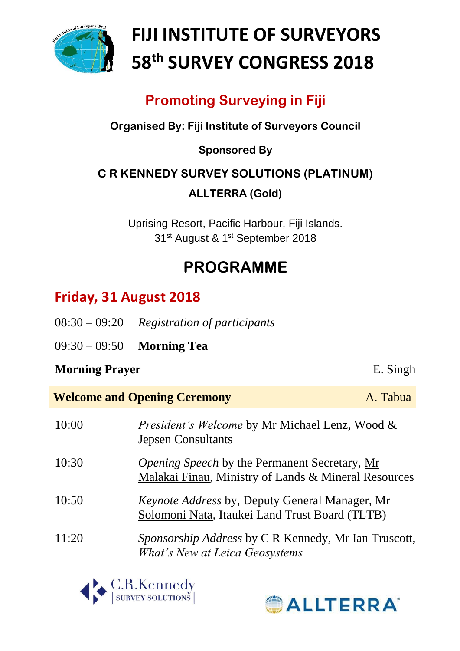

# **FIJI INSTITUTE OF SURVEYORS 58th SURVEY CONGRESS 2018**

### **Promoting Surveying in Fiji**

#### **Organised By: Fiji Institute of Surveyors Council**

#### **Sponsored By**

### **C R KENNEDY SURVEY SOLUTIONS (PLATINUM) ALLTERRA (Gold)**

Uprising Resort, Pacific Harbour, Fiji Islands. 31<sup>st</sup> August & 1<sup>st</sup> September 2018

## **PROGRAMME**

### **Friday, 31 August 2018**

- 08:30 09:20 *Registration of participants*
- 09:30 09:50 **Morning Tea**

#### **Morning Prayer** E. Singh

| <b>Welcome and Opening Ceremony</b><br>A. Tabua |                                                                                                              |  |
|-------------------------------------------------|--------------------------------------------------------------------------------------------------------------|--|
| 10:00                                           | <i>President's Welcome</i> by Mr Michael Lenz, Wood &<br><b>Jepsen Consultants</b>                           |  |
| 10:30                                           | <i>Opening Speech</i> by the Permanent Secretary, Mr<br>Malakai Finau, Ministry of Lands & Mineral Resources |  |
| 10:50                                           | <i>Keynote Address</i> by, Deputy General Manager, Mr<br>Solomoni Nata, Itaukei Land Trust Board (TLTB)      |  |
| 11:20                                           | Sponsorship Address by C R Kennedy, Mr Ian Truscott,<br>What's New at Leica Geosystems                       |  |



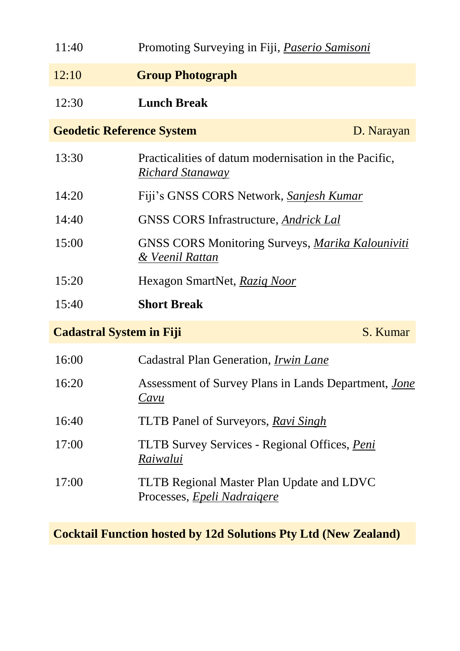| 11:40                            | Promoting Surveying in Fiji, <i>Paserio Samisoni</i>                                   |            |
|----------------------------------|----------------------------------------------------------------------------------------|------------|
| 12:10                            | <b>Group Photograph</b>                                                                |            |
| 12:30                            | <b>Lunch Break</b>                                                                     |            |
| <b>Geodetic Reference System</b> |                                                                                        | D. Narayan |
| 13:30                            | Practicalities of datum modernisation in the Pacific,<br><u>Richard Stanaway</u>       |            |
| 14:20                            | Fiji's GNSS CORS Network, Sanjesh Kumar                                                |            |
| 14:40                            | GNSS CORS Infrastructure, Andrick Lal                                                  |            |
| 15:00                            | <b>GNSS CORS Monitoring Surveys, Marika Kalouniviti</b><br>& Veenil Rattan             |            |
| 15:20                            | Hexagon SmartNet, Raziq Noor                                                           |            |
| 15:40                            | <b>Short Break</b>                                                                     |            |
| <b>Cadastral System in Fiji</b>  |                                                                                        | S. Kumar   |
| 16:00                            | Cadastral Plan Generation, <i>Irwin Lane</i>                                           |            |
| 16:20                            | Assessment of Survey Plans in Lands Department, <i>Jone</i><br>Cavu                    |            |
| 16:40                            | <b>TLTB</b> Panel of Surveyors, Ravi Singh                                             |            |
| 17:00                            | TLTB Survey Services - Regional Offices, Peni<br>Raiwalui                              |            |
| 17:00                            | <b>TLTB Regional Master Plan Update and LDVC</b><br>Processes, <i>Epeli Nadraigere</i> |            |

**Cocktail Function hosted by 12d Solutions Pty Ltd (New Zealand)**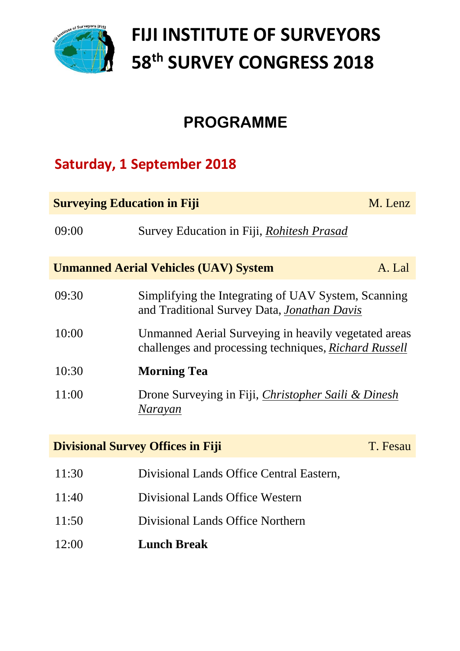

# **FIJI INSTITUTE OF SURVEYORS 58th SURVEY CONGRESS 2018**

### **PROGRAMME**

### **Saturday, 1 September 2018**

| <b>Surveying Education in Fiji</b><br>M. Lenz          |                                                                                                                      |          |  |
|--------------------------------------------------------|----------------------------------------------------------------------------------------------------------------------|----------|--|
| 09:00                                                  | Survey Education in Fiji, <i>Rohitesh Prasad</i>                                                                     |          |  |
| <b>Unmanned Aerial Vehicles (UAV) System</b><br>A. Lal |                                                                                                                      |          |  |
| 09:30                                                  | Simplifying the Integrating of UAV System, Scanning<br>and Traditional Survey Data, <i>Jonathan Davis</i>            |          |  |
| 10:00                                                  | Unmanned Aerial Surveying in heavily vegetated areas<br>challenges and processing techniques, <i>Richard Russell</i> |          |  |
| 10:30                                                  | <b>Morning Tea</b>                                                                                                   |          |  |
| 11:00                                                  | Drone Surveying in Fiji, Christopher Saili & Dinesh<br>Narayan                                                       |          |  |
| <b>Divisional Survey Offices in Fiji</b>               |                                                                                                                      | T. Fesau |  |
| 11:30                                                  | Divisional Lands Office Central Eastern,                                                                             |          |  |
| 11:40                                                  | Divisional Lands Office Western                                                                                      |          |  |
| 11:50                                                  | Divisional Lands Office Northern                                                                                     |          |  |
| 12:00                                                  | <b>Lunch Break</b>                                                                                                   |          |  |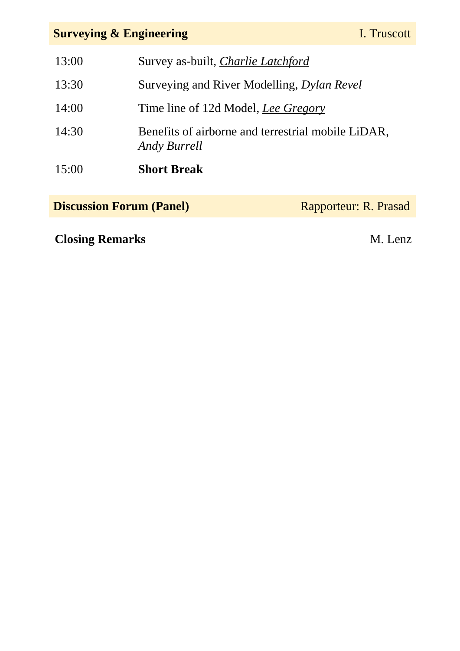### **Surveying & Engineering**

| 13:00 | Survey as-built, <i>Charlie Latchford</i>                                 |
|-------|---------------------------------------------------------------------------|
| 13:30 | Surveying and River Modelling, <i>Dylan Revel</i>                         |
| 14:00 | Time line of 12d Model, <i>Lee Gregory</i>                                |
| 14:30 | Benefits of airborne and terrestrial mobile LiDAR,<br><b>Andy Burrell</b> |
| 15:00 | <b>Short Break</b>                                                        |

**Discussion Forum (Panel)** Rapporteur: R. Prasad

**Closing Remarks** M. Lenz